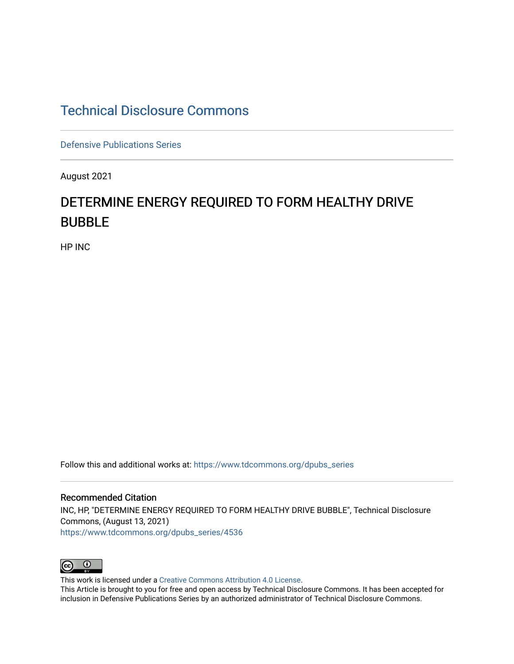## [Technical Disclosure Commons](https://www.tdcommons.org/)

[Defensive Publications Series](https://www.tdcommons.org/dpubs_series)

August 2021

# DETERMINE ENERGY REQUIRED TO FORM HEALTHY DRIVE BUBBLE

HP INC

Follow this and additional works at: [https://www.tdcommons.org/dpubs\\_series](https://www.tdcommons.org/dpubs_series?utm_source=www.tdcommons.org%2Fdpubs_series%2F4536&utm_medium=PDF&utm_campaign=PDFCoverPages) 

Recommended Citation INC, HP, "DETERMINE ENERGY REQUIRED TO FORM HEALTHY DRIVE BUBBLE", Technical Disclosure Commons, (August 13, 2021) [https://www.tdcommons.org/dpubs\\_series/4536](https://www.tdcommons.org/dpubs_series/4536?utm_source=www.tdcommons.org%2Fdpubs_series%2F4536&utm_medium=PDF&utm_campaign=PDFCoverPages)



This work is licensed under a [Creative Commons Attribution 4.0 License](http://creativecommons.org/licenses/by/4.0/deed.en_US).

This Article is brought to you for free and open access by Technical Disclosure Commons. It has been accepted for inclusion in Defensive Publications Series by an authorized administrator of Technical Disclosure Commons.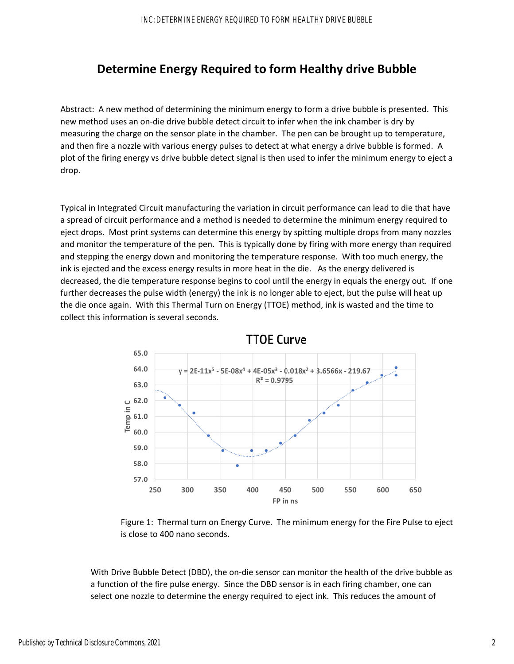### **Determine Energy Required to form Healthy drive Bubble**

Abstract: A new method of determining the minimum energy to form a drive bubble is presented. This new method uses an on‐die drive bubble detect circuit to infer when the ink chamber is dry by measuring the charge on the sensor plate in the chamber. The pen can be brought up to temperature, and then fire a nozzle with various energy pulses to detect at what energy a drive bubble is formed. A plot of the firing energy vs drive bubble detect signal is then used to infer the minimum energy to eject a drop.

Typical in Integrated Circuit manufacturing the variation in circuit performance can lead to die that have a spread of circuit performance and a method is needed to determine the minimum energy required to eject drops. Most print systems can determine this energy by spitting multiple drops from many nozzles and monitor the temperature of the pen. This is typically done by firing with more energy than required and stepping the energy down and monitoring the temperature response. With too much energy, the ink is ejected and the excess energy results in more heat in the die. As the energy delivered is decreased, the die temperature response begins to cool until the energy in equals the energy out. If one further decreases the pulse width (energy) the ink is no longer able to eject, but the pulse will heat up the die once again. With this Thermal Turn on Energy (TTOE) method, ink is wasted and the time to collect this information is several seconds.



Figure 1: Thermal turn on Energy Curve. The minimum energy for the Fire Pulse to eject is close to 400 nano seconds.

With Drive Bubble Detect (DBD), the on-die sensor can monitor the health of the drive bubble as a function of the fire pulse energy. Since the DBD sensor is in each firing chamber, one can select one nozzle to determine the energy required to eject ink. This reduces the amount of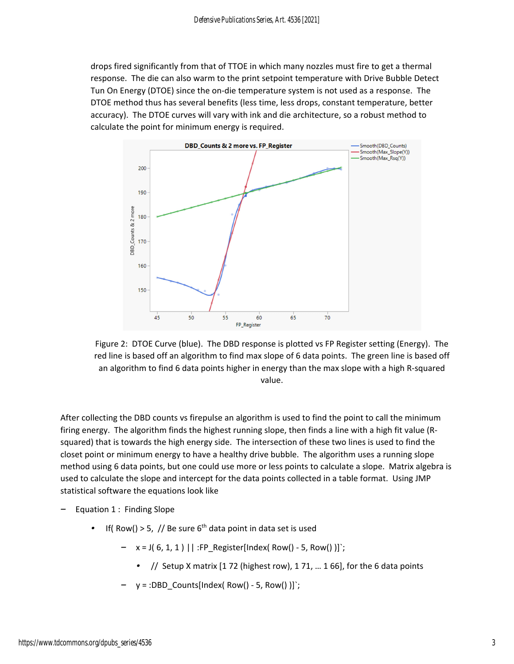drops fired significantly from that of TTOE in which many nozzles must fire to get a thermal response. The die can also warm to the print setpoint temperature with Drive Bubble Detect Tun On Energy (DTOE) since the on‐die temperature system is not used as a response. The DTOE method thus has several benefits (less time, less drops, constant temperature, better accuracy). The DTOE curves will vary with ink and die architecture, so a robust method to calculate the point for minimum energy is required.



Figure 2: DTOE Curve (blue). The DBD response is plotted vs FP Register setting (Energy). The red line is based off an algorithm to find max slope of 6 data points. The green line is based off an algorithm to find 6 data points higher in energy than the max slope with a high R-squared value.

After collecting the DBD counts vs firepulse an algorithm is used to find the point to call the minimum firing energy. The algorithm finds the highest running slope, then finds a line with a high fit value (R‐ squared) that is towards the high energy side. The intersection of these two lines is used to find the closet point or minimum energy to have a healthy drive bubble. The algorithm uses a running slope method using 6 data points, but one could use more or less points to calculate a slope. Matrix algebra is used to calculate the slope and intercept for the data points collected in a table format. Using JMP statistical software the equations look like

- *–* Equation 1 : Finding Slope
	- *If( Row() > 5, // Be sure 6<sup>th</sup> data point in data set is used* 
		- *–* x = J( 6, 1, 1 ) || :FP\_Register[Index( Row() ‐ 5, Row() )]`;
			- *•* // Setup X matrix [1 72 (highest row), 1 71, … 1 66], for the 6 data points
		- *–* y = :DBD\_Counts[Index( Row() ‐ 5, Row() )]`;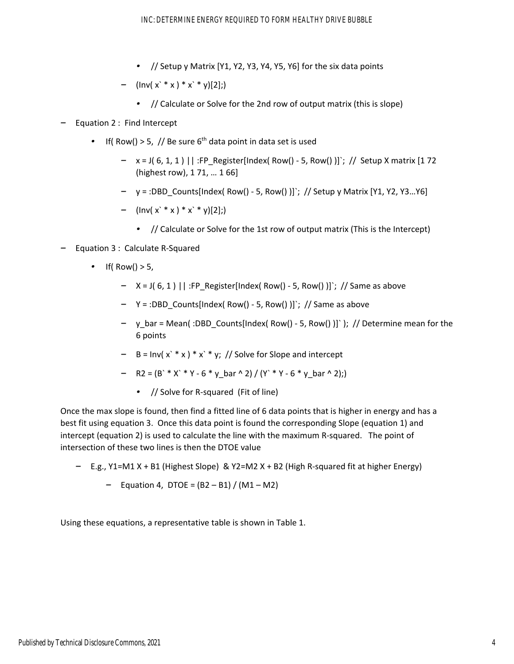- *•* // Setup y Matrix [Y1, Y2, Y3, Y4, Y5, Y6] for the six data points
- *–* (Inv( x` \* x ) \* x` \* y)[2];)
	- *•* // Calculate or Solve for the 2nd row of output matrix (this is slope)
- *–* Equation 2 : Find Intercept
	- If( Row() > 5, // Be sure  $6<sup>th</sup>$  data point in data set is used
		- *–* x = J( 6, 1, 1 ) || :FP\_Register[Index( Row() ‐ 5, Row() )]`; // Setup X matrix [1 72 (highest row), 1 71, … 1 66]
		- *–* y = :DBD\_Counts[Index( Row() ‐ 5, Row() )]`; // Setup y Matrix [Y1, Y2, Y3…Y6]
		- *–* (Inv( x` \* x ) \* x` \* y)[2];)
			- *•* // Calculate or Solve for the 1st row of output matrix (This is the Intercept)
- *–* Equation 3 : Calculate R‐Squared
	- *•* If( Row() > 5,
		- *–* X = J( 6, 1 ) || :FP\_Register[Index( Row() ‐ 5, Row() )]`; // Same as above
		- *–* Y = :DBD\_Counts[Index( Row() ‐ 5, Row() )]`; // Same as above
		- *–* y\_bar = Mean( :DBD\_Counts[Index( Row() ‐ 5, Row() )]` ); // Determine mean for the 6 points
		- *–* B = Inv( x` \* x ) \* x` \* y; // Solve for Slope and intercept
		- *–* R2 = (B` \* X` \* Y ‐ 6 \* y\_bar ^ 2) / (Y` \* Y ‐ 6 \* y\_bar ^ 2);)
			- *•* // Solve for R‐squared (Fit of line)

Once the max slope is found, then find a fitted line of 6 data points that is higher in energy and has a best fit using equation 3. Once this data point is found the corresponding Slope (equation 1) and intercept (equation 2) is used to calculate the line with the maximum R‐squared. The point of intersection of these two lines is then the DTOE value

- *–* E.g., Y1=M1 X + B1 (Highest Slope) & Y2=M2 X + B2 (High R‐squared fit at higher Energy)
	- *–* Equation 4, DTOE = (B2 B1) / (M1 M2)

Using these equations, a representative table is shown in Table 1.